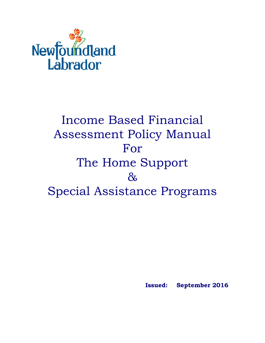

# Income Based Financial Assessment Policy Manual For The Home Support & Special Assistance Programs

**Issued: September 2016**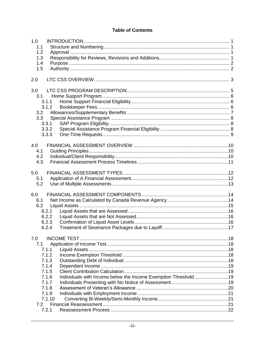#### **Table of Contents**

| 1.0 |        |                                                                |  |
|-----|--------|----------------------------------------------------------------|--|
| 1.1 |        |                                                                |  |
| 1.2 |        |                                                                |  |
| 1.3 |        |                                                                |  |
| 1.4 |        |                                                                |  |
| 1.5 |        |                                                                |  |
| 2.0 |        |                                                                |  |
| 3.0 |        |                                                                |  |
| 3.1 |        |                                                                |  |
|     | 3.1.1  |                                                                |  |
|     | 3.1.2  |                                                                |  |
| 3.2 |        |                                                                |  |
| 3.3 |        |                                                                |  |
|     | 3.3.1  |                                                                |  |
|     | 3.3.2  |                                                                |  |
|     | 3.3.3  |                                                                |  |
| 4.0 |        |                                                                |  |
| 4.1 |        |                                                                |  |
| 4.2 |        |                                                                |  |
| 4.3 |        |                                                                |  |
| 5.0 |        |                                                                |  |
| 5.1 |        |                                                                |  |
| 5.2 |        |                                                                |  |
| 6.0 |        |                                                                |  |
| 6.1 |        |                                                                |  |
| 6.2 |        |                                                                |  |
|     | 6.2.1  |                                                                |  |
|     | 6.2.2  |                                                                |  |
|     | 6.2.3  |                                                                |  |
|     | 6.2.4  |                                                                |  |
| 7.0 |        |                                                                |  |
| 7.1 |        |                                                                |  |
|     | 7.1.1  |                                                                |  |
|     | 7.1.2  |                                                                |  |
|     | 7.1.3  |                                                                |  |
|     | 7.1.4  |                                                                |  |
|     | 7.1.5  |                                                                |  |
|     | 7.1.6  | Individuals with Income below the Income Exemption Threshold19 |  |
|     | 7.1.7  |                                                                |  |
|     | 7.1.8  |                                                                |  |
|     | 7.1.9  |                                                                |  |
|     | 7.1.10 |                                                                |  |
| 7.2 |        |                                                                |  |
|     | 7.2.1  |                                                                |  |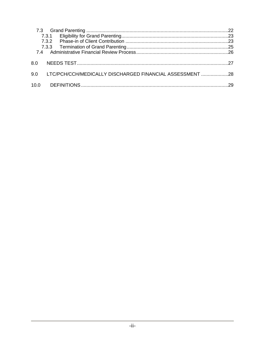|      | 7.3.1                                                 |  |
|------|-------------------------------------------------------|--|
|      | 732                                                   |  |
|      |                                                       |  |
| ጸ በ  |                                                       |  |
| 9 N  | LTC/PCH/CCH/MEDICALLY DISCHARGED FINANCIAL ASSESSMENT |  |
| 10.0 |                                                       |  |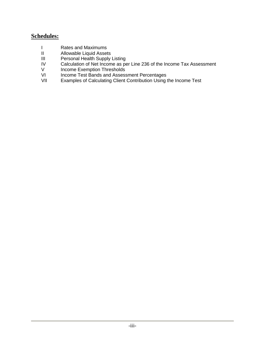#### **Schedules:**

- I Rates and Maximums
- II Allowable Liquid Assets
- III Personal Health Supply Listing
- IV Calculation of Net Income as per Line 236 of the Income Tax Assessment<br>V Income Exemption Thresholds
- V Income Exemption Thresholds<br>VI Income Test Bands and Assess
- VI Income Test Bands and Assessment Percentages<br>VII Examples of Calculating Client Contribution Using
- Examples of Calculating Client Contribution Using the Income Test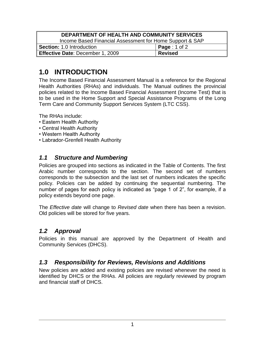| DEPARTMENT OF HEALTH AND COMMUNITY SERVICES              |                      |  |
|----------------------------------------------------------|----------------------|--|
| Income Based Financial Assessment for Home Support & SAP |                      |  |
| <b>Section: 1.0 Introduction</b>                         | <b>Page</b> : 1 of 2 |  |
| <b>Effective Date: December 1, 2009</b>                  | <b>Revised</b>       |  |

# <span id="page-4-0"></span>**1.0 INTRODUCTION**

The Income Based Financial Assessment Manual is a reference for the Regional Health Authorities (RHAs) and individuals. The Manual outlines the provincial policies related to the Income Based Financial Assessment (Income Test) that is to be used in the Home Support and Special Assistance Programs of the Long Term Care and Community Support Services System (LTC CSS).

The RHAs include:

- Eastern Health Authority
- Central Health Authority
- Western Health Authority
- Labrador-Grenfell Health Authority

### <span id="page-4-1"></span>*1.1 Structure and Numbering*

Policies are grouped into sections as indicated in the Table of Contents. The first Arabic number corresponds to the section. The second set of numbers corresponds to the subsection and the last set of numbers indicates the specific policy. Policies can be added by continuing the sequential numbering. The number of pages for each policy is indicated as "page 1 of 2", for example, if a policy extends beyond one page.

The *Effective date* will change to *Revised date* when there has been a revision. Old policies will be stored for five years.

### <span id="page-4-2"></span>*1.2 Approval*

Policies in this manual are approved by the Department of Health and Community Services (DHCS).

### <span id="page-4-3"></span>*1.3 Responsibility for Reviews, Revisions and Additions*

New policies are added and existing policies are revised whenever the need is identified by DHCS or the RHAs. All policies are regularly reviewed by program and financial staff of DHCS.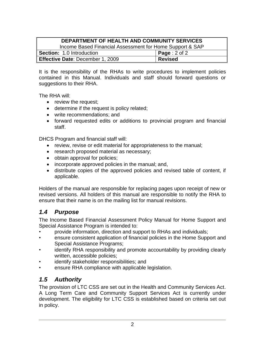| DEPARTMENT OF HEALTH AND COMMUNITY SERVICES              |                          |  |
|----------------------------------------------------------|--------------------------|--|
| Income Based Financial Assessment for Home Support & SAP |                          |  |
| <b>Section: 1.0 Introduction</b>                         | <b>Page</b> : $2$ of $2$ |  |
| <b>Effective Date: December 1, 2009</b>                  | <b>Revised</b>           |  |

It is the responsibility of the RHAs to write procedures to implement policies contained in this Manual. Individuals and staff should forward questions or suggestions to their RHA.

The RHA will:

- review the request;
- determine if the request is policy related;
- write recommendations; and
- forward requested edits or additions to provincial program and financial staff.

DHCS Program and financial staff will:

- review, revise or edit material for appropriateness to the manual;
- research proposed material as necessary;
- obtain approval for policies;
- incorporate approved policies in the manual; and,
- distribute copies of the approved policies and revised table of content, if applicable.

Holders of the manual are responsible for replacing pages upon receipt of new or revised versions. All holders of this manual are responsible to notify the RHA to ensure that their name is on the mailing list for manual revisions.

# <span id="page-5-0"></span>*1.4 Purpose*

The Income Based Financial Assessment Policy Manual for Home Support and Special Assistance Program is intended to:

- provide information, direction and support to RHAs and individuals;
- ensure consistent application of financial policies in the Home Support and Special Assistance Programs;
- identify RHA responsibility and promote accountability by providing clearly written, accessible policies;
- identify stakeholder responsibilities; and
- ensure RHA compliance with applicable legislation.

# <span id="page-5-1"></span>*1.5 Authority*

The provision of LTC CSS are set out in the Health and Community Services Act. A Long Term Care and Community Support Services Act is currently under development. The eligibility for LTC CSS is established based on criteria set out in policy.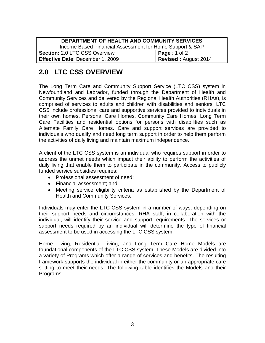| DEPARTMENT OF HEALTH AND COMMUNITY SERVICES              |                             |  |
|----------------------------------------------------------|-----------------------------|--|
| Income Based Financial Assessment for Home Support & SAP |                             |  |
| Section: 2.0 LTC CSS Overview                            | <b>Page</b> : 1 of 2        |  |
| Effective Date: December 1, 2009                         | <b>Revised: August 2014</b> |  |

# <span id="page-6-0"></span>**2.0 LTC CSS OVERVIEW**

The Long Term Care and Community Support Service (LTC CSS) system in Newfoundland and Labrador, funded through the Department of Health and Community Services and delivered by the Regional Health Authorities (RHAs), is comprised of services to adults and children with disabilities and seniors. LTC CSS include professional care and supportive services provided to individuals in their own homes, Personal Care Homes, Community Care Homes, Long Term Care Facilities and residential options for persons with disabilities such as Alternate Family Care Homes. Care and support services are provided to individuals who qualify and need long term support in order to help them perform the activities of daily living and maintain maximum independence.

A client of the LTC CSS system is an individual who requires support in order to address the unmet needs which impact their ability to perform the activities of daily living that enable them to participate in the community. Access to publicly funded service subsidies requires:

- Professional assessment of need;
- Financial assessment; and
- Meeting service eligibility criteria as established by the Department of Health and Community Services.

Individuals may enter the LTC CSS system in a number of ways, depending on their support needs and circumstances. RHA staff, in collaboration with the individual, will identify their service and support requirements. The services or support needs required by an individual will determine the type of financial assessment to be used in accessing the LTC CSS system.

Home Living, Residential Living, and Long Term Care Home Models are foundational components of the LTC CSS system. These Models are divided into a variety of Programs which offer a range of services and benefits. The resulting framework supports the individual in either the community or an appropriate care setting to meet their needs. The following table identifies the Models and their Programs.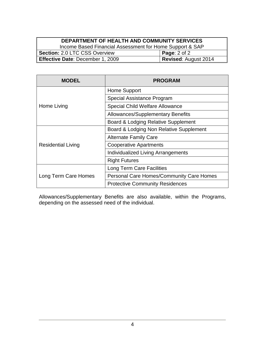#### **DEPARTMENT OF HEALTH AND COMMUNITY SERVICES**

Income Based Financial Assessment for Home Support & SAP<br>
2.0 LTC CSS Overview **Page:** 2 of 2 **Section: 2.0 LTC CSS Overview Effective Date**: December 1, 2009 **Revised**: August 2014

| <b>MODEL</b>              | <b>PROGRAM</b>                                  |
|---------------------------|-------------------------------------------------|
|                           | Home Support                                    |
|                           | Special Assistance Program                      |
| Home Living               | <b>Special Child Welfare Allowance</b>          |
|                           | Allowances/Supplementary Benefits               |
|                           | Board & Lodging Relative Supplement             |
|                           | Board & Lodging Non Relative Supplement         |
|                           | <b>Alternate Family Care</b>                    |
| <b>Residential Living</b> | <b>Cooperative Apartments</b>                   |
|                           | <b>Individualized Living Arrangements</b>       |
|                           | <b>Right Futures</b>                            |
|                           | <b>Long Term Care Facilities</b>                |
| Long Term Care Homes      | <b>Personal Care Homes/Community Care Homes</b> |
|                           | <b>Protective Community Residences</b>          |

Allowances/Supplementary Benefits are also available, within the Programs, depending on the assessed need of the individual.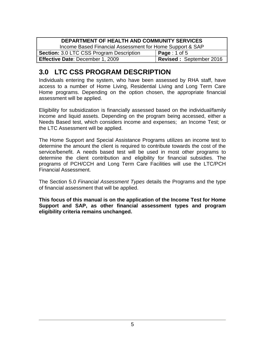| DEPARTMENT OF HEALTH AND COMMUNITY SERVICES                               |                      |  |
|---------------------------------------------------------------------------|----------------------|--|
| Income Based Financial Assessment for Home Support & SAP                  |                      |  |
| <b>Section: 3.0 LTC CSS Program Description</b>                           | <b>Page</b> : 1 of 5 |  |
| <b>Revised: September 2016</b><br><b>Effective Date: December 1, 2009</b> |                      |  |

# <span id="page-8-0"></span>**3.0 LTC CSS PROGRAM DESCRIPTION**

Individuals entering the system, who have been assessed by RHA staff, have access to a number of Home Living, Residential Living and Long Term Care Home programs. Depending on the option chosen, the appropriate financial assessment will be applied.

Eligibility for subsidization is financially assessed based on the individual/family income and liquid assets. Depending on the program being accessed, either a Needs Based test, which considers income and expenses; an Income Test; or the LTC Assessment will be applied.

The Home Support and Special Assistance Programs utilizes an income test to determine the amount the client is required to contribute towards the cost of the service/benefit. A needs based test will be used in most other programs to determine the client contribution and eligibility for financial subsidies. The programs of PCH/CCH and Long Term Care Facilities will use the LTC/PCH Financial Assessment.

The Section 5.0 *Financial Assessment Types* details the Programs and the type of financial assessment that will be applied.

**This focus of this manual is on the application of the Income Test for Home Support and SAP, as other financial assessment types and program eligibility criteria remains unchanged.**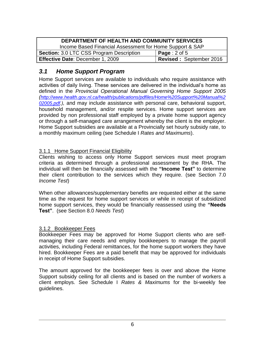| DEPARTMENT OF HEALTH AND COMMUNITY SERVICES                        |                      |  |
|--------------------------------------------------------------------|----------------------|--|
| Income Based Financial Assessment for Home Support & SAP           |                      |  |
| <b>Section: 3.0 LTC CSS Program Description</b>                    | <b>Page</b> : 2 of 5 |  |
| <b>Revised: September 2016</b><br>Effective Date: December 1, 2009 |                      |  |

### <span id="page-9-0"></span>*3.1 Home Support Program*

Home Support services are available to individuals who require assistance with activities of daily living. These services are delivered in the individual's home as defined in the *Provincial Operational Manual Governing Home Support 2005 ([http://www.health.gov.nl.ca/health/publications/pdfiles/Home%20Support%20Manual%2](http://www.health.gov.nl.ca/health/publications/pdfiles/Home%20Support%20Manual%202005.pdf) [02005.pdf.](http://www.health.gov.nl.ca/health/publications/pdfiles/Home%20Support%20Manual%202005.pdf)),* and may include assistance with personal care, behavioral support, household management, and/or respite services. Home support services are provided by non professional staff employed by a private home support agency or through a self-managed care arrangement whereby the client is the employer. Home Support subsidies are available at a Provincially set hourly subsidy rate, to a monthly maximum ceiling (see Schedule I *Rates and Maximums*).

#### <span id="page-9-1"></span>3.1.1 Home Support Financial Eligibility

Clients wishing to access only Home Support services must meet program criteria as determined through a professional assessment by the RHA. The individual will then be financially assessed with the **"Income Test"** to determine their client contribution to the services which they require. (see Section 7.0 *Income Test*)

When other allowances/supplementary benefits are requested either at the same time as the request for home support services or while in receipt of subsidized home support services, they would be financially reassessed using the **"Needs Test"**. (see Section 8.0 *Needs Test*)

#### <span id="page-9-2"></span>3.1.2 Bookkeeper Fees

Bookkeeper Fees may be approved for Home Support clients who are selfmanaging their care needs and employ bookkeepers to manage the payroll activities, including Federal remittances, for the home support workers they have hired. Bookkeeper Fees are a paid benefit that may be approved for individuals in receipt of Home Support subsidies.

The amount approved for the bookkeeper fees is over and above the Home Support subsidy ceiling for all clients and is based on the number of workers a client employs. See Schedule I *Rates & Maximums* for the bi-weekly fee guidelines.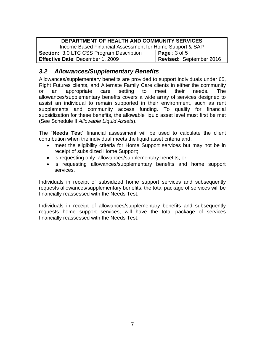| DEPARTMENT OF HEALTH AND COMMUNITY SERVICES                 |                      |  |  |
|-------------------------------------------------------------|----------------------|--|--|
| Income Based Financial Assessment for Home Support & SAP    |                      |  |  |
| <b>Section: 3.0 LTC CSS Program Description</b>             | <b>Page</b> : 3 of 5 |  |  |
| Revised: September 2016<br>Effective Date: December 1, 2009 |                      |  |  |

### <span id="page-10-0"></span>*3.2 Allowances/Supplementary Benefits*

Allowances/supplementary benefits are provided to support individuals under 65, Right Futures clients, and Alternate Family Care clients in either the community or an appropriate care setting to meet their needs. The allowances/supplementary benefits covers a wide array of services designed to assist an individual to remain supported in their environment, such as rent supplements and community access funding. To qualify for financial subsidization for these benefits, the allowable liquid asset level must first be met (See Schedule II *Allowable Liquid Assets*).

The "**Needs Test**" financial assessment will be used to calculate the client contribution when the individual meets the liquid asset criteria and:

- meet the eligibility criteria for Home Support services but may not be in receipt of subsidized Home Support;
- is requesting only allowances/supplementary benefits; or
- is requesting allowances/supplementary benefits and home support services.

Individuals in receipt of subsidized home support services and subsequently requests allowances/supplementary benefits, the total package of services will be financially reassessed with the Needs Test.

Individuals in receipt of allowances/supplementary benefits and subsequently requests home support services, will have the total package of services financially reassessed with the Needs Test.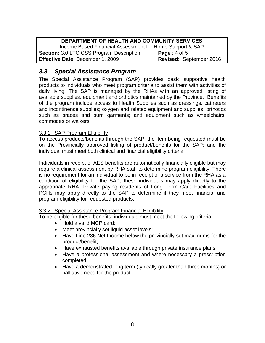| DEPARTMENT OF HEALTH AND COMMUNITY SERVICES                 |                          |  |
|-------------------------------------------------------------|--------------------------|--|
| Income Based Financial Assessment for Home Support & SAP    |                          |  |
| <b>Section: 3.0 LTC CSS Program Description</b>             | <b>Page</b> : $4$ of $5$ |  |
| Revised: September 2016<br>Effective Date: December 1, 2009 |                          |  |

### <span id="page-11-0"></span>*3.3 Special Assistance Program*

The Special Assistance Program (SAP) provides basic supportive health products to individuals who meet program criteria to assist them with activities of daily living. The SAP is managed by the RHAs with an approved listing of available supplies, equipment and orthotics maintained by the Province. Benefits of the program include access to Health Supplies such as dressings, catheters and incontinence supplies; oxygen and related equipment and supplies; orthotics such as braces and burn garments; and equipment such as wheelchairs, commodes or walkers.

#### <span id="page-11-1"></span>3.3.1 SAP Program Eligibility

To access products/benefits through the SAP, the item being requested must be on the Provincially approved listing of product/benefits for the SAP; and the individual must meet both clinical and financial eligibility criteria.

Individuals in receipt of AES benefits are automatically financially eligible but may require a clinical assessment by RHA staff to determine program eligibility. There is no requirement for an individual to be in receipt of a service from the RHA as a condition of eligibility for the SAP, these individuals may apply directly to the appropriate RHA. Private paying residents of Long Term Care Facilities and PCHs may apply directly to the SAP to determine if they meet financial and program eligibility for requested products.

#### <span id="page-11-2"></span>3.3.2 Special Assistance Program Financial Eligibility

To be eligible for these benefits, individuals must meet the following criteria:

- Hold a valid MCP card;
- Meet provincially set liquid asset levels;
- Have Line 236 Net Income below the provincially set maximums for the product/benefit;
- Have exhausted benefits available through private insurance plans;
- Have a professional assessment and where necessary a prescription completed;
- Have a demonstrated long term (typically greater than three months) or palliative need for the product;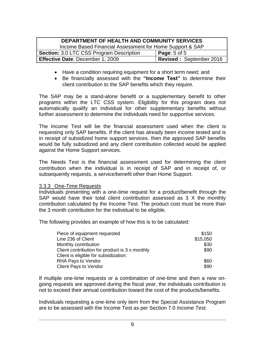| DEPARTMENT OF HEALTH AND COMMUNITY SERVICES                        |                  |  |
|--------------------------------------------------------------------|------------------|--|
| Income Based Financial Assessment for Home Support & SAP           |                  |  |
| <b>Section: 3.0 LTC CSS Program Description</b>                    | Page: $5$ of $5$ |  |
| Revised: September 2016<br><b>Effective Date: December 1, 2009</b> |                  |  |

- Have a condition requiring equipment for a short term need; and
- Be financially assessed with the **"Income Test"** to determine their client contribution to the SAP benefits which they require.

The SAP may be a stand-alone benefit or a supplementary benefit to other programs within the LTC CSS system. Eligibility for this program does not automatically qualify an individual for other supplementary benefits without further assessment to determine the individuals need for supportive services.

The Income Test will be the financial assessment used when the client is requesting only SAP benefits. If the client has already been income tested and is in receipt of subsidized home support services, then the approved SAP benefits would be fully subsidized and any client contribution collected would be applied against the Home Support services.

The Needs Test is the financial assessment used for determining the client contribution when the individual is in receipt of SAP and in receipt of, or subsequently requests, a service/benefit other than Home Support.

#### <span id="page-12-0"></span>3.3.3 One-Time Requests

Individuals presenting with a one-time request for a product/benefit through the SAP would have their total client contribution assessed as 3 X the monthly contribution calculated by the Income Test. The product cost must be more than the 3 month contribution for the individual to be eligible.

The following provides an example of how this is to be calculated:

| Piece of equipment requested                   | \$150    |
|------------------------------------------------|----------|
| Line 236 of Client                             | \$15,050 |
| Monthly contribution                           | \$30     |
| Client contribution for product is 3 x monthly | \$90     |
| Client is eligible for subsidization:          |          |
| <b>RHA Pays to Vendor</b>                      | \$60     |
| <b>Client Pays to Vendor</b>                   | \$90     |

If multiple one-time requests or a combination of one-time and then a new ongoing requests are approved during the fiscal year, the individuals contribution is not to exceed their annual contribution toward the cost of the products/benefits.

Individuals requesting a one-time only item from the Special Assistance Program are to be assessed with the Income Test as per Section 7.0 *Income Test.*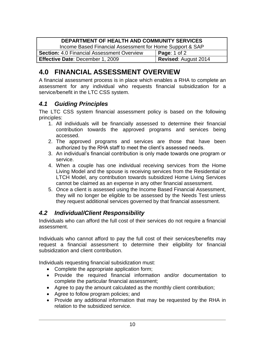| DEPARTMENT OF HEALTH AND COMMUNITY SERVICES              |                             |  |
|----------------------------------------------------------|-----------------------------|--|
| Income Based Financial Assessment for Home Support & SAP |                             |  |
| Section: 4.0 Financial Assessment Overview               | <b>Page:</b> 1 of 2         |  |
| Effective Date: December 1, 2009                         | <b>Revised: August 2014</b> |  |

# <span id="page-13-0"></span>**4.0 FINANCIAL ASSESSMENT OVERVIEW**

A financial assessment process is in place which enables a RHA to complete an assessment for any individual who requests financial subsidization for a service/benefit in the LTC CSS system.

### <span id="page-13-1"></span>*4.1 Guiding Principles*

The LTC CSS system financial assessment policy is based on the following principles:

- 1. All individuals will be financially assessed to determine their financial contribution towards the approved programs and services being accessed.
- 2. The approved programs and services are those that have been authorized by the RHA staff to meet the client's assessed needs.
- 3. An individual's financial contribution is only made towards one program or service.
- 4. When a couple has one individual receiving services from the Home Living Model and the spouse is receiving services from the Residential or LTCH Model, any contribution towards subsidized Home Living Services cannot be claimed as an expense in any other financial assessment.
- 5. Once a client is assessed using the Income Based Financial Assessment, they will no longer be eligible to be assessed by the Needs Test unless they request additional services governed by that financial assessment.

### <span id="page-13-2"></span>*4.2 Individual/Client Responsibility*

Individuals who can afford the full cost of their services do not require a financial assessment.

Individuals who cannot afford to pay the full cost of their services/benefits may request a financial assessment to determine their eligibility for financial subsidization and client contribution.

Individuals requesting financial subsidization must:

- Complete the appropriate application form;
- Provide the required financial information and/or documentation to complete the particular financial assessment;
- Agree to pay the amount calculated as the monthly client contribution;
- Agree to follow program policies; and
- Provide any additional information that may be requested by the RHA in relation to the subsidized service.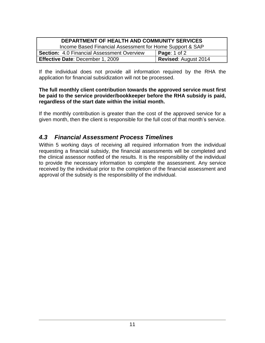| <b>DEPARTMENT OF HEALTH AND COMMUNITY SERVICES</b>       |                             |  |
|----------------------------------------------------------|-----------------------------|--|
| Income Based Financial Assessment for Home Support & SAP |                             |  |
| <b>Section: 4.0 Financial Assessment Overview</b>        | <b>Page:</b> 1 of 2         |  |
| <b>Effective Date: December 1, 2009</b>                  | <b>Revised: August 2014</b> |  |

If the individual does not provide all information required by the RHA the application for financial subsidization will not be processed.

#### **The full monthly client contribution towards the approved service must first be paid to the service provider/bookkeeper before the RHA subsidy is paid, regardless of the start date within the initial month.**

If the monthly contribution is greater than the cost of the approved service for a given month, then the client is responsible for the full cost of that month's service.

### <span id="page-14-0"></span>*4.3 Financial Assessment Process Timelines*

Within 5 working days of receiving all required information from the individual requesting a financial subsidy, the financial assessments will be completed and the clinical assessor notified of the results. It is the responsibility of the individual to provide the necessary information to complete the assessment. Any service received by the individual prior to the completion of the financial assessment and approval of the subsidy is the responsibility of the individual.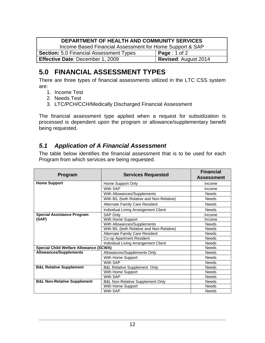#### **DEPARTMENT OF HEALTH AND COMMUNITY SERVICES**

Income Based Financial Assessment for Home Support & SAP

**Section:** 5.0 Financial Assessment Types **Page** : 1 of 2 **Effective Date:** December 1, 2009 **Revised:** August 2014

# <span id="page-15-0"></span>**5.0 FINANCIAL ASSESSMENT TYPES**

There are three types of financial assessments utilized in the LTC CSS system are:

- 1. Income Test
- 2. Needs Test
- 3. LTC/PCH/CCH/Medically Discharged Financial Assessment

The financial assessment type applied when a request for subsidization is processed is dependent upon the program or allowance/supplementary benefit being requested.

### <span id="page-15-1"></span>*5.1 Application of A Financial Assessment*

The table below identifies the financial assessment that is to be used for each Program from which services are being requested.

| <b>Program</b>                                | <b>Services Requested</b>                   | <b>Financial</b><br><b>Assessment</b> |
|-----------------------------------------------|---------------------------------------------|---------------------------------------|
| <b>Home Support</b>                           | Home Support Only                           | Income                                |
|                                               | With SAP                                    | Income                                |
|                                               | With Allowances/Supplements                 | <b>Needs</b>                          |
|                                               | With B/L (both Relative and Non-Relative)   | <b>Needs</b>                          |
|                                               | <b>Alternate Family Care Resident</b>       | <b>Needs</b>                          |
|                                               | Individual Living Arrangement Client        | <b>Needs</b>                          |
| <b>Special Assistance Program</b>             | <b>SAP Only</b>                             | Income                                |
| (SAP)                                         | With Home Support                           | Income                                |
|                                               | With Allowances/Supplements                 | <b>Needs</b>                          |
|                                               | With B/L (both Relative and Non-Relative)   | <b>Needs</b>                          |
|                                               | Alternate Family Care Resident              | <b>Needs</b>                          |
|                                               | Co-op Apartment Resident                    | <b>Needs</b>                          |
|                                               | Individual Living Arrangement Client        | <b>Needs</b>                          |
| <b>Special Child Welfare Allowance (SCWA)</b> |                                             | <b>Needs</b>                          |
| <b>Allowances/Supplements</b>                 | Allowances/Supplements Only                 | <b>Needs</b>                          |
|                                               | With Home Support                           | <b>Needs</b>                          |
|                                               | With SAP                                    | <b>Needs</b>                          |
| <b>B&amp;L Relative Supplement</b>            | <b>B&amp;L Relative Supplement Only</b>     | <b>Needs</b>                          |
|                                               | With Home Support                           | <b>Needs</b>                          |
|                                               | With SAP                                    | <b>Needs</b>                          |
| <b>B&amp;L Non-Relative Supplement</b>        | <b>B&amp;L Non-Relative Supplement Only</b> | <b>Needs</b>                          |
|                                               | With Home Support                           | Needs                                 |
|                                               | With SAP                                    | <b>Needs</b>                          |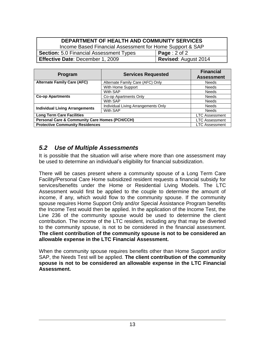| DEPARTMENT OF HEALTH AND COMMUNITY SERVICES                     |              |  |
|-----------------------------------------------------------------|--------------|--|
| Income Based Financial Assessment for Home Support & SAP        |              |  |
| <b>Section:</b> 5.0 Financial Assessment Types                  | Page: 2 of 2 |  |
| <b>Revised: August 2014</b><br>Effective Date: December 1, 2009 |              |  |

| Program                                                   | <b>Services Requested</b>           | <b>Financial</b><br><b>Assessment</b> |
|-----------------------------------------------------------|-------------------------------------|---------------------------------------|
| <b>Alternate Family Care (AFC)</b>                        | Alternate Family Care (AFC) Only    | Needs                                 |
|                                                           | With Home Support                   | <b>Needs</b>                          |
|                                                           | With SAP                            | <b>Needs</b>                          |
| <b>Co-op Apartments</b>                                   | Co-op Apartments Only               | <b>Needs</b>                          |
|                                                           | With SAP                            | <b>Needs</b>                          |
| <b>Individual Living Arrangements</b>                     | Individual Living Arrangements Only | <b>Needs</b>                          |
|                                                           | With SAP                            | <b>Needs</b>                          |
| <b>Long Term Care Facilities</b>                          |                                     | <b>LTC Assessment</b>                 |
| <b>Personal Care &amp; Community Care Homes (PCH/CCH)</b> |                                     | <b>LTC Assessment</b>                 |
| <b>Protective Community Residences</b>                    |                                     | <b>LTC Assessment</b>                 |

### <span id="page-16-0"></span>*5.2 Use of Multiple Assessments*

It is possible that the situation will arise where more than one assessment may be used to determine an individual's eligibility for financial subsidization.

There will be cases present where a community spouse of a Long Term Care Facility/Personal Care Home subsidized resident requests a financial subsidy for services/benefits under the Home or Residential Living Models. The LTC Assessment would first be applied to the couple to determine the amount of income, if any, which would flow to the community spouse. If the community spouse requires Home Support Only and/or Special Assistance Program benefits the Income Test would then be applied. In the application of the Income Test, the Line 236 of the community spouse would be used to determine the client contribution. The income of the LTC resident, including any that may be diverted to the community spouse, is not to be considered in the financial assessment. **The client contribution of the community spouse is not to be considered an allowable expense in the LTC Financial Assessment.**

When the community spouse requires benefits other than Home Support and/or SAP, the Needs Test will be applied. **The client contribution of the community spouse is not to be considered an allowable expense in the LTC Financial Assessment.**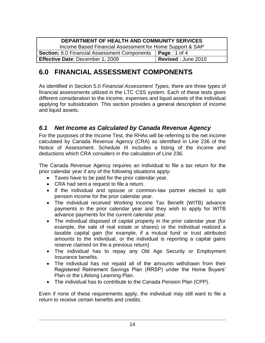| DEPARTMENT OF HEALTH AND COMMUNITY SERVICES              |                       |  |
|----------------------------------------------------------|-----------------------|--|
| Income Based Financial Assessment for Home Support & SAP |                       |  |
| <b>Section:</b> 6.0 Financial Assessment Components      | $\vert$ Page : 1 of 4 |  |
| <b>Effective Date: December 1, 2009</b>                  | Revised: June 2010    |  |

# <span id="page-17-0"></span>**6.0 FINANCIAL ASSESSMENT COMPONENTS**

As identified in Section 5.0 *Financial Assessment Types,* there are three types of financial assessments utilized in the LTC CSS system. Each of these tests gives different consideration to the income, expenses and liquid assets of the individual applying for subsidization. This section provides a general description of income and liquid assets.

### <span id="page-17-1"></span>*6.1 Net Income as Calculated by Canada Revenue Agency*

For the purposes of the Income Test, the RHAs will be referring to the net income calculated by Canada Revenue Agency (CRA) as identified in Line 236 of the Notice of Assessment. Schedule III includes a listing of the income and deductions which CRA considers in the calculation of Line 236.

The Canada Revenue Agency requires an individual to file a tax return for the prior calendar year if any of the following situations apply:

- Taxes have to be paid for the prior calendar year.
- CRA had sent a request to file a return.
- If the individual and spouse or common-law partner elected to split pension income for the prior calendar year.
- The individual received Working Income Tax Benefit (WITB) advance payments in the prior calendar year and they wish to apply for WITB advance payments for the current calendar year.
- The individual disposed of capital property in the prior calendar year (for example, the sale of real estate or shares) or the individual realized a taxable capital gain (for example, if a mutual fund or trust attributed amounts to the individual, or the individual is reporting a capital gains reserve claimed on the a previous return)
- The individual has to repay any Old Age Security or Employment Insurance benefits.
- The individual has not repaid all of the amounts withdrawn from their Registered Retirement Savings Plan (RRSP) under the Home Buyers' Plan or the Lifelong Learning Plan.
- The individual has to contribute to the Canada Pension Plan (CPP).

Even if none of these requirements apply, the individual may still want to file a return to receive certain benefits and credits.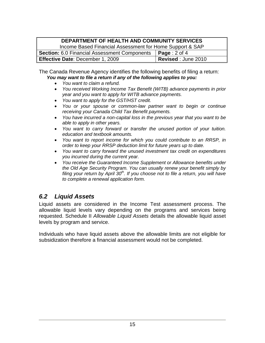#### **DEPARTMENT OF HEALTH AND COMMUNITY SERVICES**

| Income Based Financial Assessment for Home Support & SAP           |                           |
|--------------------------------------------------------------------|---------------------------|
| <b>Section:</b> 6.0 Financial Assessment Components   Page: 2 of 4 |                           |
| <b>Effective Date: December 1, 2009</b>                            | <b>Revised: June 2010</b> |

The Canada Revenue Agency identifies the following benefits of filing a return: *You may want to file a return if any of the following applies to you:*

- *You want to claim a refund.*
- *You received Working Income Tax Benefit (WITB) advance payments in prior year and you want to apply for WITB advance payments.*
- *You want to apply for the GST/HST credit.*
- *You or your spouse or common-law partner want to begin or continue receiving your Canada Child Tax Benefit payments.*
- *You have incurred a non-capital loss in the previous year that you want to be able to apply in other years.*
- *You want to carry forward or transfer the unused portion of your tuition. education and textbook amounts.*
- *You want to report income for which you could contribute to an RRSP, in order to keep your RRSP deduction limit for future years up to date.*
- *You want to carry forward the unused investment tax credit on expenditures you incurred during the current year.*
- *You receive the Guaranteed Income Supplement or Allowance benefits under the Old Age Security Program. You can usually renew your benefit simply by filing your return by April 30th. If you choose not to file a return, you will have to complete a renewal application form.*

### <span id="page-18-0"></span>*6.2 Liquid Assets*

Liquid assets are considered in the Income Test assessment process. The allowable liquid levels vary depending on the programs and services being requested. Schedule II *Allowable Liquid Assets* details the allowable liquid asset levels by program and service.

Individuals who have liquid assets above the allowable limits are not eligible for subsidization therefore a financial assessment would not be completed.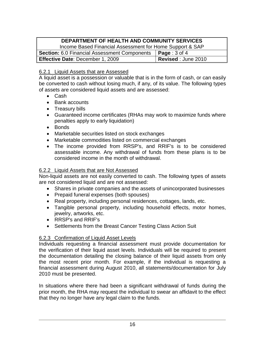#### **DEPARTMENT OF HEALTH AND COMMUNITY SERVICES** Income Based Financial Assessment for Home Support & SAP **Section:** 6.0 Financial Assessment Components | **Page** : 3 of 4 **Effective Date:** December 1, 2009 **Revised** : June 2010

#### <span id="page-19-0"></span>6.2.1 Liquid Assets that are Assessed

A liquid asset is a possession or valuable that is in the form of cash, or can easily be converted to cash without losing much, if any, of its value. The following types of assets are considered liquid assets and are assessed:

- Cash
- Bank accounts
- Treasury bills
- Guaranteed income certificates (RHAs may work to maximize funds where penalties apply to early liquidation)
- Bonds
- Marketable securities listed on stock exchanges
- Marketable commodities listed on commercial exchanges
- The income provided from RRSP's, and RRIF's is to be considered assessable income. Any withdrawal of funds from these plans is to be considered income in the month of withdrawal.

#### <span id="page-19-1"></span>6.2.2 Liquid Assets that are Not Assessed

Non-liquid assets are not easily converted to cash. The following types of assets are not considered liquid and are not assessed:

- Shares in private companies and the assets of unincorporated businesses
- Prepaid funeral expenses (both spouses)
- Real property, including personal residences, cottages, lands, etc.
- Tangible personal property, including household effects, motor homes, jewelry, artworks, etc.
- RRSP's and RRIF's
- Settlements from the Breast Cancer Testing Class Action Suit

#### <span id="page-19-2"></span>6.2.3 Confirmation of Liquid Asset Levels

Individuals requesting a financial assessment must provide documentation for the verification of their liquid asset levels. Individuals will be required to present the documentation detailing the closing balance of their liquid assets from only the most recent prior month. For example, if the individual is requesting a financial assessment during August 2010, all statements/documentation for July 2010 must be presented.

In situations where there had been a significant withdrawal of funds during the prior month, the RHA may request the individual to swear an affidavit to the effect that they no longer have any legal claim to the funds.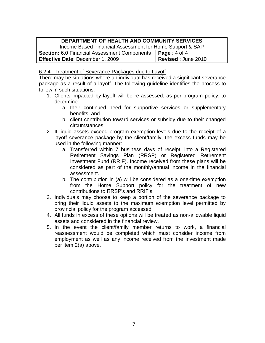| DEPARTMENT OF HEALTH AND COMMUNITY SERVICES              |                           |
|----------------------------------------------------------|---------------------------|
| Income Based Financial Assessment for Home Support & SAP |                           |
| <b>Section:</b> 6.0 Financial Assessment Components      | $\vert$ Page : 4 of 4     |
| Effective Date: December 1, 2009                         | <b>Revised: June 2010</b> |

<span id="page-20-0"></span>6.2.4 Treatment of Severance Packages due to Layoff

There may be situations where an individual has received a significant severance package as a result of a layoff. The following guideline identifies the process to follow in such situations:

- 1. Clients impacted by layoff will be re-assessed, as per program policy, to determine:
	- a. their continued need for supportive services or supplementary benefits; and
	- b. client contribution toward services or subsidy due to their changed circumstances.
- 2. If liquid assets exceed program exemption levels due to the receipt of a layoff severance package by the client/family, the excess funds may be used in the following manner:
	- a. Transferred within 7 business days of receipt, into a Registered Retirement Savings Plan (RRSP) or Registered Retirement Investment Fund (RRIF). Income received from these plans will be considered as part of the monthly/annual income in the financial assessment.
	- b. The contribution in (a) will be considered as a one-time exemption from the Home Support policy for the treatment of new contributions to RRSP's and RRIF's.
- 3. Individuals may choose to keep a portion of the severance package to bring their liquid assets to the maximum exemption level permitted by provincial policy for the program accessed.
- 4. All funds in excess of these options will be treated as non-allowable liquid assets and considered in the financial review.
- 5. In the event the client/family member returns to work, a financial reassessment would be completed which must consider income from employment as well as any income received from the investment made per item 2(a) above.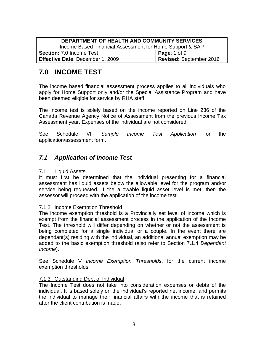| DEPARTMENT OF HEALTH AND COMMUNITY SERVICES              |                         |  |
|----------------------------------------------------------|-------------------------|--|
| Income Based Financial Assessment for Home Support & SAP |                         |  |
| <b>Section: 7.0 Income Test</b>                          | <b>Page: 1 of 9</b>     |  |
| <b>Effective Date: December 1, 2009</b>                  | Revised: September 2016 |  |

# <span id="page-21-0"></span>**7.0 INCOME TEST**

The income based financial assessment process applies to all individuals who apply for Home Support only and/or the Special Assistance Program and have been deemed eligible for service by RHA staff.

The income test is solely based on the income reported on Line 236 of the Canada Revenue Agency Notice of Assessment from the previous Income Tax Assessment year. Expenses of the individual are not considered.

See Schedule VII *Sample Income Test Application* for the application/assessment form.

### <span id="page-21-1"></span>*7.1 Application of Income Test*

#### <span id="page-21-2"></span>7.1.1 Liquid Assets

It must first be determined that the individual presenting for a financial assessment has liquid assets below the allowable level for the program and/or service being requested. If the allowable liquid asset level is met, then the assessor will proceed with the application of the income test.

#### <span id="page-21-3"></span>7.1.2 Income Exemption Threshold

The income exemption threshold is a Provincially set level of income which is exempt from the financial assessment process in the application of the Income Test. The threshold will differ depending on whether or not the assessment is being completed for a single individual or a couple. In the event there are dependant(s) residing with the individual, an additional annual exemption may be added to the basic exemption threshold (also refer to Section 7.1.4 *Dependant Income*).

See Schedule V *Income Exemption Thresholds*, for the current income exemption thresholds.

#### <span id="page-21-4"></span>7.1.3 Outstanding Debt of Individual

The Income Test does not take into consideration expenses or debts of the individual. It is based solely on the individual's reported net income, and permits the individual to manage their financial affairs with the income that is retained after the client contribution is made.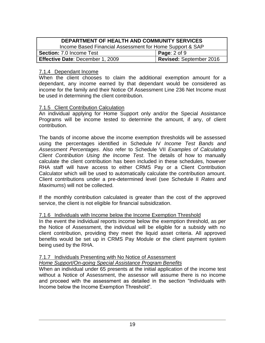| DEPARTMENT OF HEALTH AND COMMUNITY SERVICES              |                                |  |
|----------------------------------------------------------|--------------------------------|--|
| Income Based Financial Assessment for Home Support & SAP |                                |  |
| <b>Section: 7.0 Income Test</b>                          | <b>Page:</b> $2$ of $9$        |  |
| Effective Date: December 1, 2009                         | <b>Revised: September 2016</b> |  |

#### <span id="page-22-0"></span>7.1.4 Dependant Income

When the client chooses to claim the additional exemption amount for a dependant, any income earned by that dependant would be considered as income for the family and their Notice Of Assessment Line 236 Net Income must be used in determining the client contribution.

#### <span id="page-22-1"></span>7.1.5 Client Contribution Calculation

An individual applying for Home Support only and/or the Special Assistance Programs will be income tested to determine the amount, if any, of client contribution.

The bands of income above the income exemption thresholds will be assessed using the percentages identified in Schedule IV *Income Test Bands and Assessment Percentages*. Also refer to Schedule VII *Examples of Calculating Client Contribution Using the Income Test*. The details of how to manually calculate the client contribution has been included in these schedules, however RHA staff will have access to either CRMS Pay or a Client Contribution Calculator which will be used to automatically calculate the contribution amount. Client contributions under a pre-determined level (see Schedule II *Rates and Maximums*) will not be collected.

If the monthly contribution calculated is greater than the cost of the approved service, the client is not eligible for financial subsidization.

#### <span id="page-22-2"></span>7.1.6 Individuals with Income below the Income Exemption Threshold

In the event the individual reports income below the exemption threshold, as per the Notice of Assessment, the individual will be eligible for a subsidy with no client contribution, providing they meet the liquid asset criteria. All approved benefits would be set up in CRMS Pay Module or the client payment system being used by the RHA.

#### <span id="page-22-3"></span>7.1.7 Individuals Presenting with No Notice of Assessment

#### *Home Support/On-going Special Assistance Program Benefits*

When an individual under 65 presents at the initial application of the income test without a Notice of Assessment, the assessor will assume there is no income and proceed with the assessment as detailed in the section "Individuals with Income below the Income Exemption Threshold".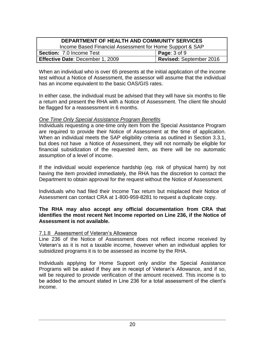| <b>DEPARTMENT OF HEALTH AND COMMUNITY SERVICES</b>       |                         |  |
|----------------------------------------------------------|-------------------------|--|
| Income Based Financial Assessment for Home Support & SAP |                         |  |
| <b>Section: 7.0 Income Test</b>                          | Page: $3$ of $9$        |  |
| <b>Effective Date: December 1, 2009</b>                  | Revised: September 2016 |  |

When an individual who is over 65 presents at the initial application of the income test without a Notice of Assessment, the assessor will assume that the individual has an income equivalent to the basic OAS/GIS rates.

In either case, the individual must be advised that they will have six months to file a return and present the RHA with a Notice of Assessment. The client file should be flagged for a reassessment in 6 months.

#### *One Time Only Special Assistance Program Benefits*

Individuals requesting a one-time only item from the Special Assistance Program are required to provide their Notice of Assessment at the time of application. When an individual meets the SAP eligibility criteria as outlined in Section 3.3.1, but does not have a Notice of Assessment, they will not normally be eligible for financial subsidization of the requested item, as there will be no automatic assumption of a level of income.

If the individual would experience hardship (eg. risk of physical harm) by not having the item provided immediately, the RHA has the discretion to contact the Department to obtain approval for the request without the Notice of Assessment.

Individuals who had filed their Income Tax return but misplaced their Notice of Assessment can contact CRA at 1-800-959-8281 to request a duplicate copy.

#### **The RHA may also accept any official documentation from CRA that identifies the most recent Net Income reported on Line 236, if the Notice of Assessment is not available.**

#### <span id="page-23-0"></span>7.1.8 Assessment of Veteran's Allowance

Line 236 of the Notice of Assessment does not reflect income received by Veteran's as it is not a taxable income, however when an individual applies for subsidized programs it is to be assessed as income by the RHA.

Individuals applying for Home Support only and/or the Special Assistance Programs will be asked if they are in receipt of Veteran's Allowance, and if so, will be required to provide verification of the amount received. This income is to be added to the amount stated in Line 236 for a total assessment of the client's income.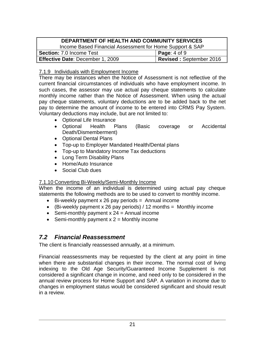| DEPARTMENT OF HEALTH AND COMMUNITY SERVICES              |                         |  |
|----------------------------------------------------------|-------------------------|--|
| Income Based Financial Assessment for Home Support & SAP |                         |  |
| <b>Section: 7.0 Income Test</b>                          | Page: $4$ of $9$        |  |
| <b>Effective Date: December 1, 2009</b>                  | Revised: September 2016 |  |

#### <span id="page-24-0"></span>7.1.9 Individuals with Employment Income

There may be instances when the Notice of Assessment is not reflective of the current financial circumstances of individuals who have employment income. In such cases, the assessor may use actual pay cheque statements to calculate monthly income rather than the Notice of Assessment. When using the actual pay cheque statements, voluntary deductions are to be added back to the net pay to determine the amount of income to be entered into CRMS Pay System. Voluntary deductions may include, but are not limited to:

- Optional Life Insurance
- Optional Health Plans (Basic coverage or Accidental Death/Dismemberment)
- Optional Dental Plans
- Top-up to Employer Mandated Health/Dental plans
- Top-up to Mandatory Income Tax deductions
- Long Term Disability Plans
- Home/Auto Insurance
- Social Club dues

#### <span id="page-24-1"></span>7.1.10 Converting Bi-Weekly/Semi-Monthly Income

When the income of an individual is determined using actual pay cheque statements the following methods are to be used to convert to monthly income.

- $\bullet$  Bi-weekly payment x 26 pay periods = Annual income
- (Bi-weekly payment x 26 pay periods) / 12 months = Monthly income
- Semi-monthly payment  $x$  24 = Annual income
- Semi-monthly payment  $x = 2$  = Monthly income

### <span id="page-24-2"></span>*7.2 Financial Reassessment*

The client is financially reassessed annually, at a minimum.

Financial reassessments may be requested by the client at any point in time when there are substantial changes in their income. The normal cost of living indexing to the Old Age Security/Guaranteed Income Supplement is not considered a significant change in income, and need only to be considered in the annual review process for Home Support and SAP. A variation in income due to changes in employment status would be considered significant and should result in a review.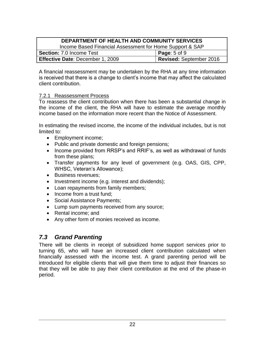| <b>DEPARTMENT OF HEALTH AND COMMUNITY SERVICES</b>                        |  |  |  |
|---------------------------------------------------------------------------|--|--|--|
| Income Based Financial Assessment for Home Support & SAP                  |  |  |  |
| <b>Section: 7.0 Income Test</b><br><b>Page:</b> 5 of 9                    |  |  |  |
| <b>Revised: September 2016</b><br><b>Effective Date: December 1, 2009</b> |  |  |  |

A financial reassessment may be undertaken by the RHA at any time information is received that there is a change to client's income that may affect the calculated client contribution.

#### <span id="page-25-0"></span>7.2.1 Reassessment Process

To reassess the client contribution when there has been a substantial change in the income of the client, the RHA will have to estimate the average monthly income based on the information more recent than the Notice of Assessment.

In estimating the revised income, the income of the individual includes, but is not limited to:

- Employment income;
- Public and private domestic and foreign pensions;
- Income provided from RRSP's and RRIF's, as well as withdrawal of funds from these plans;
- Transfer payments for any level of government (e.g. OAS, GIS, CPP, WHSC, Veteran's Allowance);
- Business revenues;
- Investment income (e.g. interest and dividends);
- Loan repayments from family members;
- Income from a trust fund:
- Social Assistance Payments;
- Lump sum payments received from any source;
- Rental income; and
- Any other form of monies received as income.

### <span id="page-25-1"></span>*7.3 Grand Parenting*

There will be clients in receipt of subsidized home support services prior to turning 65, who will have an increased client contribution calculated when financially assessed with the income test. A grand parenting period will be introduced for eligible clients that will give them time to adjust their finances so that they will be able to pay their client contribution at the end of the phase-in period.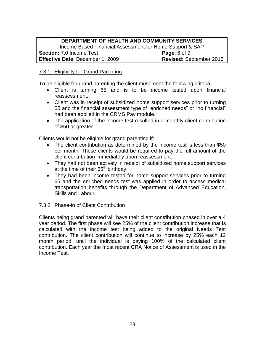#### **DEPARTMENT OF HEALTH AND COMMUNITY SERVICES** Income Based Financial Assessment for Home Support & SAP **Section:** 7.0 Income Test **Page**: 6 of 9 **Effective Date:** December 1, 2009 **Revised:** September 2016

#### <span id="page-26-0"></span>7.3.1 Eligibility for Grand Parenting

To be eligible for grand parenting the client must meet the following criteria:

- Client is turning 65 and is to be income tested upon financial reassessment.
- Client was in receipt of subsidized home support services prior to turning 65 and the financial assessment type of "enriched needs" or "no financial" had been applied in the CRMS Pay module.
- The application of the income test resulted in a monthly client contribution of \$50 or greater.

Clients would not be eligible for grand parenting if:

- The client contribution as determined by the income test is less than \$50 per month. These clients would be required to pay the full amount of the client contribution immediately upon reassessment.
- They had not been actively in receipt of subsidized home support services at the time of their 65<sup>th</sup> birthday.
- They had been income tested for home support services prior to turning 65 and the enriched needs test was applied in order to access medical transportation benefits through the Department of Advanced Education, Skills and Labour.

#### <span id="page-26-1"></span>7.3.2 Phase-in of Client Contribution

Clients being grand parented will have their client contribution phased in over a 4 year period. The first phase will see 25% of the client contribution increase that is calculated with the income test being added to the original Needs Test contribution. The client contribution will continue to increase by 25% each 12 month period, until the individual is paying 100% of the calculated client contribution. Each year the most recent CRA Notice of Assessment is used in the Income Test.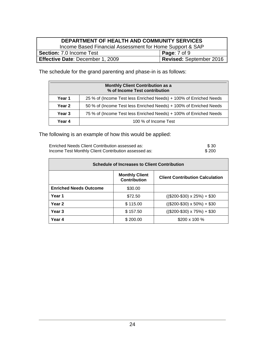#### **DEPARTMENT OF HEALTH AND COMMUNITY SERVICES** Income Based Financial Assessment for Home Support & SAP **Section:** 7.0 Income Test **Page**: 7 of 9 **Effective Date**: December 1, 2009 **Revised:** September 2016

The schedule for the grand parenting and phase-in is as follows:

| <b>Monthly Client Contribution as a</b><br>% of Income Test contribution |                                                                    |  |
|--------------------------------------------------------------------------|--------------------------------------------------------------------|--|
| Year 1                                                                   | 25 % of (Income Test less Enriched Needs) + 100% of Enriched Needs |  |
| Year <sub>2</sub>                                                        | 50 % of (Income Test less Enriched Needs) + 100% of Enriched Needs |  |
| Year <sub>3</sub>                                                        | 75 % of (Income Test less Enriched Needs) + 100% of Enriched Needs |  |
| Year 4                                                                   | 100 % of Income Test                                               |  |

The following is an example of how this would be applied:

Enriched Needs Client Contribution assessed as:  $$30$ <br>Income Test Monthly Client Contribution assessed as:  $$200$ Income Test Monthly Client Contribution assessed as:

| <b>Schedule of Increases to Client Contribution</b>                                    |          |                                     |  |
|----------------------------------------------------------------------------------------|----------|-------------------------------------|--|
| <b>Monthly Client</b><br><b>Client Contribution Calculation</b><br><b>Contribution</b> |          |                                     |  |
| <b>Enriched Needs Outcome</b>                                                          | \$30.00  |                                     |  |
| Year 1                                                                                 | \$72.50  | $(($200-$30) \times 25%) + $30$     |  |
| Year <sub>2</sub>                                                                      | \$115.00 | $((\$200-\$30) \times 50\%) + \$30$ |  |
| Year <sub>3</sub>                                                                      | \$157.50 | $(($200-$30) \times 75\%) + $30$    |  |
| Year 4                                                                                 | \$200.00 | \$200 x 100 %                       |  |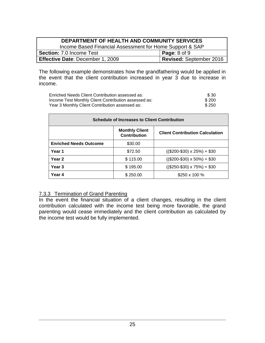| DEPARTMENT OF HEALTH AND COMMUNITY SERVICES                |                         |  |  |
|------------------------------------------------------------|-------------------------|--|--|
| Income Based Financial Assessment for Home Support & SAP   |                         |  |  |
| <b>Page:</b> $8$ of $9$<br><b>Section: 7.0 Income Test</b> |                         |  |  |
| <b>Effective Date: December 1, 2009</b>                    | Revised: September 2016 |  |  |

The following example demonstrates how the grandfathering would be applied in the event that the client contribution increased in year 3 due to increase in income.

| Enriched Needs Client Contribution assessed as:      | \$30  |
|------------------------------------------------------|-------|
| Income Test Monthly Client Contribution assessed as: | \$200 |
| Year 3 Monthly Client Contribution assessed as:      | \$250 |

| <b>Schedule of Increases to Client Contribution</b>                             |          |                                       |  |
|---------------------------------------------------------------------------------|----------|---------------------------------------|--|
| <b>Monthly Client</b><br><b>Client Contribution Calculation</b><br>Contribution |          |                                       |  |
| <b>Enriched Needs Outcome</b>                                                   | \$30.00  |                                       |  |
| Year 1                                                                          | \$72.50  | $(($200-$30) \times 25%) + $30$       |  |
| Year 2                                                                          | \$115.00 | $(($200-$30) \times 50\%) + $30$      |  |
| Year 3                                                                          | \$195.00 | $((\$250 - \$30) \times 75\%) + \$30$ |  |
| Year 4                                                                          | \$250.00 | $$250 \times 100 \%$                  |  |

#### <span id="page-28-0"></span>7.3.3 Termination of Grand Parenting

In the event the financial situation of a client changes, resulting in the client contribution calculated with the income test being more favorable, the grand parenting would cease immediately and the client contribution as calculated by the income test would be fully implemented.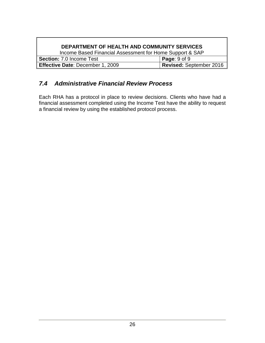### **DEPARTMENT OF HEALTH AND COMMUNITY SERVICES**

Income Based Financial Assessment for Home Support & SAP **Section:** 7.0 Income Test<br> **Effective Date**: December 1, 2009<br> **Revised:** September 2016 **Effective Date: December 1, 2009** 

### <span id="page-29-0"></span>*7.4 Administrative Financial Review Process*

Each RHA has a protocol in place to review decisions. Clients who have had a financial assessment completed using the Income Test have the ability to request a financial review by using the established protocol process.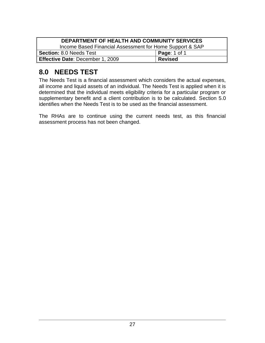| DEPARTMENT OF HEALTH AND COMMUNITY SERVICES              |                |  |
|----------------------------------------------------------|----------------|--|
| Income Based Financial Assessment for Home Support & SAP |                |  |
| <b>Section: 8.0 Needs Test</b><br><b>Page: 1 of 1</b>    |                |  |
| Effective Date: December 1, 2009                         | <b>Revised</b> |  |

# <span id="page-30-0"></span>**8.0 NEEDS TEST**

The Needs Test is a financial assessment which considers the actual expenses, all income and liquid assets of an individual. The Needs Test is applied when it is determined that the individual meets eligibility criteria for a particular program or supplementary benefit and a client contribution is to be calculated. Section 5.0 identifies when the Needs Test is to be used as the financial assessment.

The RHAs are to continue using the current needs test, as this financial assessment process has not been changed.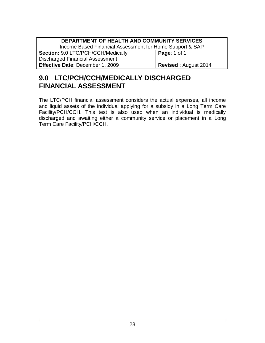| DEPARTMENT OF HEALTH AND COMMUNITY SERVICES              |                             |  |  |
|----------------------------------------------------------|-----------------------------|--|--|
| Income Based Financial Assessment for Home Support & SAP |                             |  |  |
| Section: 9.0 LTC/PCH/CCH/Medically                       | <b>Page: 1 of 1</b>         |  |  |
| <b>Discharged Financial Assessment</b>                   |                             |  |  |
| Effective Date: December 1, 2009                         | <b>Revised: August 2014</b> |  |  |

# <span id="page-31-0"></span>**9.0 LTC/PCH/CCH/MEDICALLY DISCHARGED FINANCIAL ASSESSMENT**

The LTC/PCH financial assessment considers the actual expenses, all income and liquid assets of the individual applying for a subsidy in a Long Term Care Facility/PCH/CCH. This test is also used when an individual is medically discharged and awaiting either a community service or placement in a Long Term Care Facility/PCH/CCH.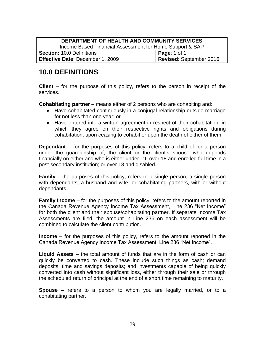| DEPARTMENT OF HEALTH AND COMMUNITY SERVICES              |                         |  |  |
|----------------------------------------------------------|-------------------------|--|--|
| Income Based Financial Assessment for Home Support & SAP |                         |  |  |
| <b>Page: 1 of 1</b><br><b>Section: 10.0 Definitions</b>  |                         |  |  |
| <b>Effective Date: December 1, 2009</b>                  | Revised: September 2016 |  |  |

# <span id="page-32-0"></span>**10.0 DEFINITIONS**

**Client** – for the purpose of this policy, refers to the person in receipt of the services.

**Cohabitating partner** – means either of 2 persons who are cohabiting and:

- Have cohabitated continuously in a conjugal relationship outside marriage for not less than one year; or
- Have entered into a written agreement in respect of their cohabitation, in which they agree on their respective rights and obligations during cohabitation, upon ceasing to cohabit or upon the death of either of them.

**Dependant** – for the purposes of this policy, refers to a child of, or a person under the guardianship of, the client or the client's spouse who depends financially on either and who is either under 19; over 18 and enrolled full time in a post-secondary institution; or over 18 and disabled.

**Family** – the purposes of this policy, refers to a single person; a single person with dependants; a husband and wife, or cohabitating partners, with or without dependants.

**Family Income** – for the purposes of this policy, refers to the amount reported in the Canada Revenue Agency Income Tax Assessment, Line 236 "Net Income" for both the client and their spouse/cohabitating partner. If separate Income Tax Assessments are filed, the amount in Line 236 on each assessment will be combined to calculate the client contribution.

**Income** – for the purposes of this policy, refers to the amount reported in the Canada Revenue Agency Income Tax Assessment, Line 236 "Net Income".

**Liquid Assets** – the total amount of funds that are in the form of cash or can quickly be converted to cash. These include such things as cash; demand deposits; time and savings deposits; and investments capable of being quickly converted into cash without significant loss, either through their sale or through the scheduled return of principal at the end of a short time remaining to maturity.

**Spouse** – refers to a person to whom you are legally married, or to a cohabitating partner.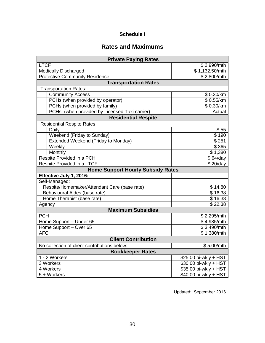#### **Schedule I**

### **Rates and Maximums**

| <b>Private Paying Rates</b>                                |                       |  |  |
|------------------------------------------------------------|-----------------------|--|--|
| <b>LTCF</b>                                                | \$2,990/mth           |  |  |
| <b>Medically Discharged</b>                                | \$1,132.50/mth        |  |  |
| <b>Protective Community Residence</b>                      | \$2,800/mth           |  |  |
| <b>Transportation Rates</b>                                |                       |  |  |
| <b>Transportation Rates:</b>                               |                       |  |  |
| Community Access                                           | \$0.30/km             |  |  |
| PCHs (when provided by operator)                           | \$0.55/km             |  |  |
| PCHs (when provided by family)                             | \$0.30/km             |  |  |
| PCHs (when provided by Licensed Taxi carrier)              | Actual                |  |  |
| <b>Residential Respite</b>                                 |                       |  |  |
| <b>Residential Respite Rates</b>                           |                       |  |  |
| Daily                                                      | \$55                  |  |  |
| Weekend (Friday to Sunday)                                 | \$190                 |  |  |
| Extended Weekend (Friday to Monday)                        | \$251                 |  |  |
| Weekly                                                     | \$365                 |  |  |
| Monthly                                                    | \$1,380               |  |  |
| Respite Provided in a PCH<br>\$64/day                      |                       |  |  |
| Respite Provided in a LTCF                                 | \$20/day              |  |  |
| <b>Home Support Hourly Subsidy Rates</b>                   |                       |  |  |
| Effective July 1, 2016:                                    |                       |  |  |
| Self-Managed:                                              |                       |  |  |
| Respite/Homemaker/Attendant Care (base rate)               | \$14.80               |  |  |
| Behavioural Aides (base rate)                              | \$16.38               |  |  |
| Home Therapist (base rate)<br>\$16.38                      |                       |  |  |
| Agency                                                     | \$22.38               |  |  |
| <b>Maximum Subsidies</b>                                   |                       |  |  |
| <b>PCH</b>                                                 | \$2,295/mth           |  |  |
| Home Support - Under 65                                    | \$4,985/mth           |  |  |
| Home Support - Over 65                                     | \$3,490/mth           |  |  |
| <b>AFC</b>                                                 | \$1,380/mth           |  |  |
| <b>Client Contribution</b>                                 |                       |  |  |
| No collection of client contributions below:<br>\$5.00/mth |                       |  |  |
| <b>Bookkeeper Rates</b>                                    |                       |  |  |
| 1 - 2 Workers                                              | \$25.00 bi-wkly + HST |  |  |
| 3 Workers                                                  | \$30.00 bi-wkly + HST |  |  |
| \$35.00 bi-wkly + HST<br>4 Workers                         |                       |  |  |
| 5 + Workers                                                | \$40.00 bi-wkly + HST |  |  |

Updated: September 2016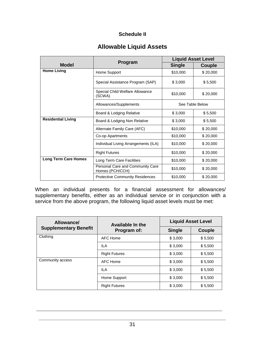#### **Schedule II**

### **Allowable Liquid Assets**

|                             |                                                     |               | <b>Liquid Asset Level</b> |
|-----------------------------|-----------------------------------------------------|---------------|---------------------------|
| <b>Model</b>                | Program                                             | <b>Single</b> | Couple                    |
| <b>Home Living</b>          | Home Support                                        | \$10,000      | \$20,000                  |
|                             | Special Assistance Program (SAP)                    | \$3,000       | \$5,500                   |
|                             | Special Child Welfare Allowance<br>(SCWA)           | \$10,000      | \$20,000                  |
|                             | Allowances/Supplements                              |               | See Table Below           |
|                             | Board & Lodging Relative                            | \$3,000       | \$5,500                   |
| <b>Residential Living</b>   | Board & Lodging Non Relative                        | \$3,000       | \$5,500                   |
|                             | Alternate Family Care (AFC)                         | \$10,000      | \$20,000                  |
|                             | Co-op Apartments                                    | \$10,000      | \$20,000                  |
|                             | Individual Living Arrangements (ILA)                | \$10,000      | \$20,000                  |
|                             | <b>Right Futures</b>                                | \$10,000      | \$20,000                  |
| <b>Long Term Care Homes</b> | Long Term Care Facilities                           | \$10,000      | \$20,000                  |
|                             | Personal Care and Community Care<br>Homes (PCH/CCH) | \$10,000      | \$20,000                  |
|                             | <b>Protective Community Residences</b>              | \$10,000      | \$20,000                  |

When an individual presents for a financial assessment for allowances/ supplementary benefits, either as an individual service or in conjunction with a service from the above program, the following liquid asset levels must be met:

| Allowance/<br><b>Supplementary Benefit</b> | <b>Available In the</b><br>Program of: | <b>Liquid Asset Level</b> |         |
|--------------------------------------------|----------------------------------------|---------------------------|---------|
|                                            |                                        | <b>Single</b>             | Couple  |
| Clothing                                   | AFC Home                               | \$3,000                   | \$5,500 |
|                                            | ILA                                    | \$3,000                   | \$5,500 |
|                                            | <b>Right Futures</b>                   | \$3,000                   | \$5,500 |
| Community access                           | AFC Home                               | \$3,000                   | \$5,500 |
|                                            | <b>ILA</b>                             | \$3,000                   | \$5,500 |
|                                            | Home Support                           | \$3,000                   | \$5,500 |
|                                            | <b>Right Futures</b>                   | \$3,000                   | \$5,500 |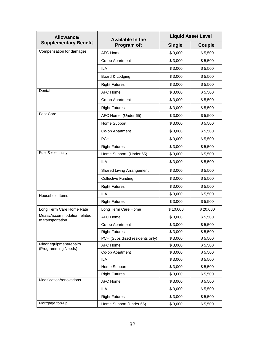| Allowance/                                       | <b>Available In the</b>         | <b>Liquid Asset Level</b> |          |  |
|--------------------------------------------------|---------------------------------|---------------------------|----------|--|
| <b>Supplementary Benefit</b>                     | Program of:                     | <b>Single</b>             | Couple   |  |
| Compensation for damages                         | <b>AFC Home</b>                 | \$3,000                   | \$5,500  |  |
|                                                  | Co-op Apartment                 | \$3,000                   | \$5,500  |  |
|                                                  | <b>ILA</b>                      | \$3,000                   | \$5,500  |  |
|                                                  | Board & Lodging                 | \$3,000                   | \$5,500  |  |
|                                                  | <b>Right Futures</b>            | \$3,000                   | \$5,500  |  |
| Dental                                           | <b>AFC Home</b>                 | \$3,000                   | \$5,500  |  |
|                                                  | Co-op Apartment                 | \$3,000                   | \$5,500  |  |
|                                                  | <b>Right Futures</b>            | \$3,000                   | \$5,500  |  |
| Foot Care                                        | AFC Home (Under 65)             | \$3,000                   | \$5,500  |  |
|                                                  | Home Support                    | \$3,000                   | \$5,500  |  |
|                                                  | Co-op Apartment                 | \$3,000                   | \$5,500  |  |
|                                                  | <b>PCH</b>                      | \$3,000                   | \$5,500  |  |
|                                                  | <b>Right Futures</b>            | \$3,000                   | \$5,500  |  |
| Fuel & electricity                               | Home Support (Under 65)         | \$3,000                   | \$5,500  |  |
|                                                  | <b>ILA</b>                      | \$3,000                   | \$5,500  |  |
|                                                  | Shared Living Arrangement       | \$3,000                   | \$5,500  |  |
|                                                  | <b>Collective Funding</b>       | \$3,000                   | \$5,500  |  |
|                                                  | <b>Right Futures</b>            | \$3,000                   | \$5,500  |  |
| Household Items                                  | <b>ILA</b>                      | \$3,000                   | \$5,500  |  |
|                                                  | <b>Right Futures</b>            | \$3,000                   | \$5,500  |  |
| Long Term Care Home Rate                         | Long Term Care Home             | \$10,000                  | \$20,000 |  |
| Meals/Accommodation related<br>to transportation | <b>AFC Home</b>                 | \$3,000                   | \$5,500  |  |
|                                                  | Co-op Apartment                 | \$3,000                   | \$5,500  |  |
|                                                  | <b>Right Futures</b>            | \$3,000                   | \$5,500  |  |
|                                                  | PCH (Subsidized residents only) | \$3,000                   | \$5,500  |  |
| Minor equipment/repairs<br>(Programming Needs)   | <b>AFC Home</b>                 | \$3,000                   | \$5,500  |  |
|                                                  | Co-op Apartment                 | \$3,000                   | \$5,500  |  |
|                                                  | <b>ILA</b>                      | \$3,000                   | \$5,500  |  |
|                                                  | Home Support                    | \$3,000                   | \$5,500  |  |
|                                                  | <b>Right Futures</b>            | \$3,000                   | \$5,500  |  |
| Modification/renovations                         | <b>AFC Home</b>                 | \$3,000                   | \$5,500  |  |
|                                                  | ILA                             | \$3,000                   | \$5,500  |  |
|                                                  | <b>Right Futures</b>            | \$3,000                   | \$5,500  |  |
| Mortgage top-up                                  | Home Support (Under 65)         | \$3,000                   | \$5,500  |  |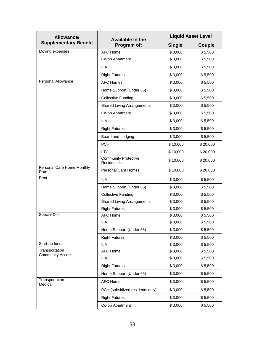| Allowance/                                | <b>Available In the</b>                   |               | <b>Liquid Asset Level</b> |  |
|-------------------------------------------|-------------------------------------------|---------------|---------------------------|--|
| <b>Supplementary Benefit</b>              | Program of:                               | <b>Single</b> | Couple                    |  |
| Moving expenses                           | <b>AFC Home</b>                           | \$3,000       | \$5,500                   |  |
|                                           | Co-op Apartment                           | \$3,000       | \$5,500                   |  |
|                                           | <b>ILA</b>                                | \$3,000       | \$5,500                   |  |
|                                           | <b>Right Futures</b>                      | \$3,000       | \$5,500                   |  |
| Personal Allowance                        | <b>AFC Homes</b>                          | \$3,000       | \$5,500                   |  |
|                                           | Home Support (Under 65)                   | \$3,000       | \$5,500                   |  |
|                                           | <b>Collective Funding</b>                 | \$3,000       | \$5,500                   |  |
|                                           | <b>Shared Living Arrangements</b>         | \$3,000       | \$5,500                   |  |
|                                           | Co-op Apartment                           | \$3,000       | \$5,500                   |  |
|                                           | <b>ILA</b>                                | \$3,000       | \$5,500                   |  |
|                                           | <b>Right Futures</b>                      | \$3,000       | \$5,500                   |  |
|                                           | Board and Lodging                         | \$3,000       | \$5,500                   |  |
|                                           | <b>PCH</b>                                | \$10,000      | \$20,000                  |  |
|                                           | <b>LTC</b>                                | \$10,000      | \$20,000                  |  |
|                                           | <b>Community Protective</b><br>Residences | \$10,000      | \$20,000                  |  |
| Personal Care Home Monthly<br>Rate        | <b>Personal Care Homes</b>                | \$10,000      | \$20,000                  |  |
| Rent                                      | <b>ILA</b>                                | \$3,000       | \$5,500                   |  |
|                                           | Home Support (Under 65)                   | \$3,000       | \$5,500                   |  |
|                                           | <b>Collective Funding</b>                 | \$3,000       | \$5,500                   |  |
|                                           | <b>Shared Living Arrangements</b>         | \$3,000       | \$5,500                   |  |
|                                           | <b>Right Futures</b>                      | \$3,000       | \$5,500                   |  |
| Special Diet                              | <b>AFC Home</b>                           | \$3,000       | \$5,500                   |  |
|                                           | <b>ILA</b>                                | \$3,000       | \$5,500                   |  |
|                                           | Home Support (Under 65)                   | \$3,000       | \$5,500                   |  |
|                                           | <b>Right Futures</b>                      | \$3,000       | \$5,500                   |  |
| Start-up funds                            | <b>ILA</b>                                | \$3,000       | \$5,500                   |  |
| Transportation<br><b>Community Access</b> | <b>AFC Home</b>                           | \$3,000       | \$5,500                   |  |
|                                           | ILA                                       | \$3,000       | \$5,500                   |  |
|                                           | <b>Right Futures</b>                      | \$3,000       | \$5,500                   |  |
|                                           | Home Support (Under 65)                   | \$3,000       | \$5,500                   |  |
| Transportation<br>Medical                 | <b>AFC Home</b>                           | \$3,000       | \$5,500                   |  |
|                                           | PCH (subsidized residents only)           | \$3,000       | \$5,500                   |  |
|                                           | <b>Right Futures</b>                      | \$3,000       | \$5,500                   |  |
|                                           | Co-op Apartment                           | \$3,000       | \$5,500                   |  |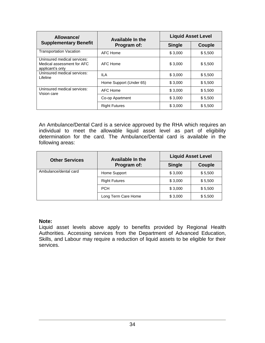| Allowance/                                                                    | <b>Available In the</b> | <b>Liquid Asset Level</b> |         |  |
|-------------------------------------------------------------------------------|-------------------------|---------------------------|---------|--|
| <b>Supplementary Benefit</b>                                                  | Program of:             | <b>Single</b>             | Couple  |  |
| <b>Transportation Vacation</b>                                                | AFC Home                | \$3,000                   | \$5,500 |  |
| Uninsured medical services:<br>Medical assessment for AFC<br>applicant's only | AFC Home                | \$3,000                   | \$5,500 |  |
| Uninsured medical services:<br>Lifeline                                       | IL A                    | \$3,000                   | \$5,500 |  |
|                                                                               | Home Support (Under 65) | \$3,000                   | \$5,500 |  |
| Uninsured medical services:<br>Vision care                                    | AFC Home                | \$3,000                   | \$5,500 |  |
|                                                                               | Co-op Apartment         | \$3,000                   | \$5,500 |  |
|                                                                               | <b>Right Futures</b>    | \$3,000                   | \$5,500 |  |

An Ambulance/Dental Card is a service approved by the RHA which requires an individual to meet the allowable liquid asset level as part of eligibility determination for the card. The Ambulance/Dental card is available in the following areas:

| <b>Other Services</b> | <b>Available In the</b><br>Program of: | <b>Liquid Asset Level</b> |         |  |
|-----------------------|----------------------------------------|---------------------------|---------|--|
|                       |                                        | <b>Single</b>             | Couple  |  |
| Ambulance/dental card | Home Support                           | \$3,000                   | \$5,500 |  |
|                       | <b>Right Futures</b>                   | \$3,000                   | \$5,500 |  |
|                       | <b>PCH</b>                             | \$3,000                   | \$5,500 |  |
|                       | Long Term Care Home                    | \$3,000                   | \$5,500 |  |

#### **Note:**

Liquid asset levels above apply to benefits provided by Regional Health Authorities. Accessing services from the Department of Advanced Education, Skills, and Labour may require a reduction of liquid assets to be eligible for their services.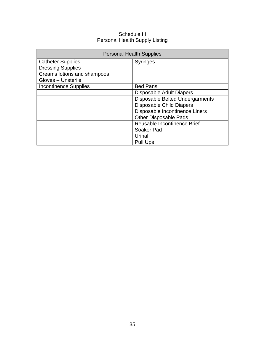#### Schedule III Personal Health Supply Listing

| <b>Personal Health Supplies</b> |                                 |  |
|---------------------------------|---------------------------------|--|
| <b>Catheter Supplies</b>        | <b>Syringes</b>                 |  |
| <b>Dressing Supplies</b>        |                                 |  |
| Creams lotions and shampoos     |                                 |  |
| Gloves - Unsterile              |                                 |  |
| <b>Incontinence Supplies</b>    | <b>Bed Pans</b>                 |  |
|                                 | Disposable Adult Diapers        |  |
|                                 | Disposable Belted Undergarments |  |
|                                 | <b>Disposable Child Diapers</b> |  |
| Disposable Incontinence Liners  |                                 |  |
|                                 | <b>Other Disposable Pads</b>    |  |
| Reusable Incontinence Brief     |                                 |  |
|                                 | Soaker Pad                      |  |
|                                 | Urinal                          |  |
|                                 | <b>Pull Ups</b>                 |  |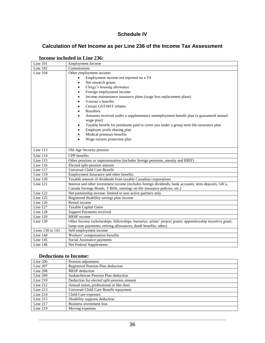#### **Schedule IV**

### **Calculation of Net Income as per Line 236 of the Income Tax Assessment**

| Line 101         | <b>Employment Income</b>                                                                                     |
|------------------|--------------------------------------------------------------------------------------------------------------|
| Line 102         | Commissions                                                                                                  |
| Line 104         | Other employment income:                                                                                     |
|                  | Employment income not reported on a T4<br>$\bullet$                                                          |
|                  | Net research grants<br>$\bullet$                                                                             |
|                  | Clergy's housing allowance<br>$\bullet$                                                                      |
|                  | Foreign employment income<br>٠                                                                               |
|                  | Income maintenance insurance plans (wage loss replacement plans)<br>$\bullet$                                |
|                  | Veteran's benefits<br>$\bullet$                                                                              |
|                  | Certain GST/HST rebates<br>$\bullet$                                                                         |
|                  | Royalties<br>$\bullet$                                                                                       |
|                  | Amounts received under a supplementary unemployment benefit plan (a guaranteed annual<br>$\bullet$           |
|                  | wage plan)                                                                                                   |
|                  | Taxable benefit for premiums paid to cover you under a group term life-insurance plan<br>$\bullet$           |
|                  | Employee profit sharing plan<br>$\bullet$                                                                    |
|                  | Medical premium benefits<br>٠                                                                                |
|                  | Wage earners protection plan                                                                                 |
|                  |                                                                                                              |
| Line $113$       | Old Age Security pension                                                                                     |
| Line 114         | CPP benefits                                                                                                 |
| Line 115         | Other pensions or superannuation (includes foreign pensions, annuity and RRIF)                               |
| Line $116$       | Elected split-pension amount                                                                                 |
| Line 117         | Universal Child Care Benefit                                                                                 |
| Line 119         | Employment Insurance and other benefits                                                                      |
| Line 120         | Taxable amount of dividends from taxable Canadian corporations                                               |
| Line 121         | Interest and other investment income (includes foreign dividends, bank accounts, term deposits, GICs,        |
|                  | Canada Savings Bonds, T-Bills, earnings on life insurance policies, etc.)                                    |
| Line 122         | Net partnership income: limited or non-active partners only                                                  |
| Line 125         | Registered disability savings plan income                                                                    |
| Line 126         | Rental income                                                                                                |
| Line $127$       | Taxable Capital Gains                                                                                        |
| Line 128         | <b>Support Payments received</b>                                                                             |
| Line 129         | <b>RRSP</b> income                                                                                           |
| Line 130         | Other Income (scholarships, fellowships, bursaries, artists' project grants; apprenticeship incentive grant; |
|                  | lump-sum payments; retiring allowances; death benefits; other)                                               |
| Lines 130 to 143 | Self-employment income                                                                                       |
| Line 144         | Workers' compensation benefits                                                                               |
| Line 145         | Social Assistance payments                                                                                   |
| Line 146         | Net Federal Supplements                                                                                      |

#### **Income included in Line 236:**

#### **Deductions to Income:**

| Line $206$ | Pension adjustment                         |
|------------|--------------------------------------------|
| Line 207   | Registered Pension Plan deduction          |
| Line 208   | <b>RRSP</b> deduction                      |
| Line 209   | Saskatchewan Pension Plan deduction        |
| Line 210   | Deduction for elected split-pension amount |
| Line $212$ | Annual union, professional or like dues    |
| Line $213$ | Universal Child Care Benefit repayment     |
| Line $214$ | Child Care expenses                        |
| Line $215$ | Disability supports deduction              |
| Line 217   | Business investment loss                   |
| Line 219   | Moving expenses                            |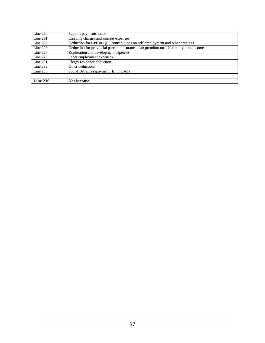| Line $220$ | Support payments made                                                              |
|------------|------------------------------------------------------------------------------------|
| Line $221$ | Carrying charges and interest expenses                                             |
| Line $222$ | Deduction for CPP or QPP contributions on self-employment and other earnings       |
| Line $223$ | Deduction for provincial parental insurance plan premium on self-employment income |
| Line $224$ | Exploration and development expenses                                               |
| Line 229   | Other employment expenses                                                          |
| Line $231$ | Clergy residence deduction                                                         |
| Line $232$ | Other deductions                                                                   |
| Line 235   | Social Benefits repayment (EI or OAS)                                              |
|            |                                                                                    |
| Line 236   | Net income                                                                         |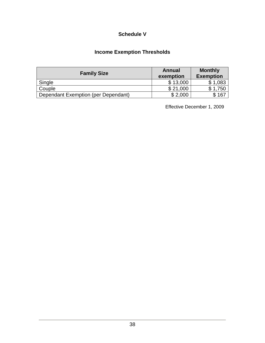#### **Schedule V**

### **Income Exemption Thresholds**

| <b>Family Size</b>                  | <b>Annual</b><br>exemption | <b>Monthly</b><br><b>Exemption</b> |
|-------------------------------------|----------------------------|------------------------------------|
| Single                              | \$13,000                   | \$1,083                            |
| Couple                              | \$21,000                   | \$1,750                            |
| Dependant Exemption (per Dependant) | \$2,000                    | 167                                |

Effective December 1, 2009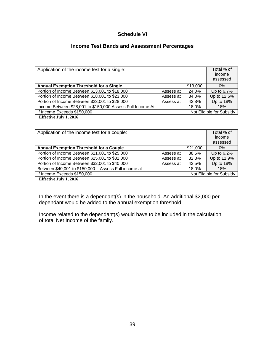#### **Schedule VI**

#### **Income Test Bands and Assessment Percentages**

| Application of the income test for a single:               |           |          | Total % of<br>income<br>assessed |
|------------------------------------------------------------|-----------|----------|----------------------------------|
| <b>Annual Exemption Threshold for a Single</b>             |           | \$13,000 | $0\%$                            |
| Portion of Income Between \$13,001 to \$18,000             | Assess at | 24.0%    | Up to 6.7%                       |
| Portion of Income Between \$18,001 to \$23,000             | Assess at | 34.0%    | Up to 12.6%                      |
| Portion of Income Between \$23,001 to \$28,000             | Assess at | 42.8%    | Up to 18%                        |
| Income Between \$28,001 to \$150,000 Assess Full Income At |           | 18.0%    | 18%                              |
| If Income Exceeds \$150,000                                |           |          | Not Eligible for Subsidy         |
| <b>100 10 1 1 401</b>                                      |           |          |                                  |

**Effective July 1, 2016**

| Application of the income test for a couple:          |           |          | Total % of<br>income<br>assessed |
|-------------------------------------------------------|-----------|----------|----------------------------------|
| <b>Annual Exemption Threshold for a Couple</b>        |           | \$21,000 | $0\%$                            |
| Portion of Income Between \$21,001 to \$25,000        | Assess at | 38.5%    | Up to 6.2%                       |
| Portion of Income Between \$25,001 to \$32,000        | Assess at | 32.3%    | Up to 11.9%                      |
| Portion of Income Between \$32,001 to \$40,000        | Assess at | 42.5%    | Up to 18%                        |
| Between \$40,001 to \$150,000 - Assess Full income at |           | 18.0%    | 18%                              |
| If Income Exceeds \$150,000                           |           |          | Not Eligible for Subsidy         |

**Effective July 1, 2016**

In the event there is a dependant(s) in the household. An additional \$2,000 per dependant would be added to the annual exemption threshold.

Income related to the dependant(s) would have to be included in the calculation of total Net Income of the family.